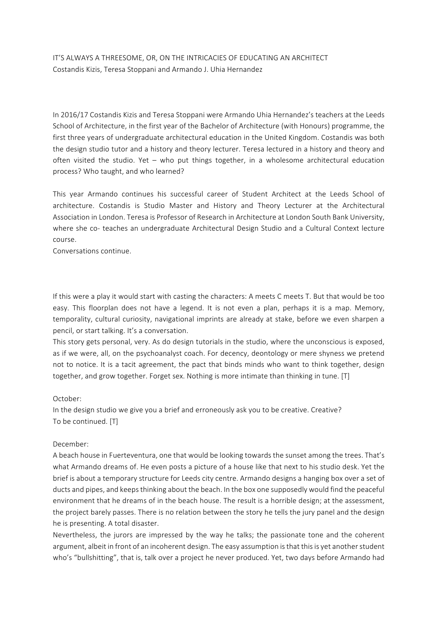IT'S ALWAYS A THREESOME, OR, ON THE INTRICACIES OF EDUCATING AN ARCHITECT Costandis Kizis, Teresa Stoppani and Armando J. Uhia Hernandez

In 2016/17 Costandis Kizis and Teresa Stoppani were Armando Uhia Hernandez's teachers at the Leeds School of Architecture, in the first year of the Bachelor of Architecture (with Honours) programme, the first three years of undergraduate architectural education in the United Kingdom. Costandis was both the design studio tutor and a history and theory lecturer. Teresa lectured in a history and theory and often visited the studio. Yet – who put things together, in a wholesome architectural education process? Who taught, and who learned?

This year Armando continues his successful career of Student Architect at the Leeds School of architecture. Costandis is Studio Master and History and Theory Lecturer at the Architectural Association in London. Teresa is Professor of Research in Architecture at London South Bank University, where she co- teaches an undergraduate Architectural Design Studio and a Cultural Context lecture course.

Conversations continue.

If this were a play it would start with casting the characters: A meets C meets T. But that would be too easy. This floorplan does not have a legend. It is not even a plan, perhaps it is a map. Memory, temporality, cultural curiosity, navigational imprints are already at stake, before we even sharpen a pencil, or start talking. It's a conversation.

This story gets personal, very. As do design tutorials in the studio, where the unconscious is exposed, as if we were, all, on the psychoanalyst coach. For decency, deontology or mere shyness we pretend not to notice. It is a tacit agreement, the pact that binds minds who want to think together, design together, and grow together. Forget sex. Nothing is more intimate than thinking in tune. [T]

#### October:

In the design studio we give you a brief and erroneously ask you to be creative. Creative? To be continued. [T]

#### December:

A beach house in Fuerteventura, one that would be looking towards the sunset among the trees. That's what Armando dreams of. He even posts a picture of a house like that next to his studio desk. Yet the brief is about a temporary structure for Leeds city centre. Armando designs a hanging box over a set of ducts and pipes, and keepsthinking about the beach. In the box one supposedly would find the peaceful environment that he dreams of in the beach house. The result is a horrible design; at the assessment, the project barely passes. There is no relation between the story he tells the jury panel and the design he is presenting. A total disaster.

Nevertheless, the jurors are impressed by the way he talks; the passionate tone and the coherent argument, albeit in front of an incoherent design. The easy assumption is that this is yet another student who's "bullshitting", that is, talk over a project he never produced. Yet, two days before Armando had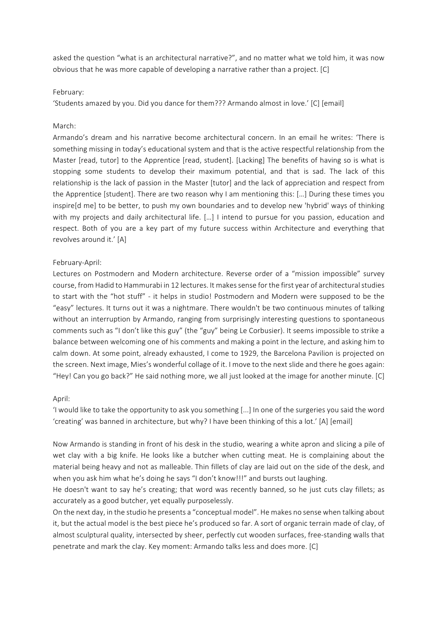asked the question "what is an architectural narrative?", and no matter what we told him, it was now obvious that he was more capable of developing a narrative rather than a project. [C]

#### February:

'Students amazed by you. Did you dance for them??? Armando almost in love.' [C] [email]

#### March:

Armando's dream and his narrative become architectural concern. In an email he writes: 'There is something missing in today's educational system and that is the active respectful relationship from the Master [read, tutor] to the Apprentice [read, student]. [Lacking] The benefits of having so is what is stopping some students to develop their maximum potential, and that is sad. The lack of this relationship is the lack of passion in the Master [tutor] and the lack of appreciation and respect from the Apprentice [student]. There are two reason why I am mentioning this: […] During these times you inspire[d me] to be better, to push my own boundaries and to develop new 'hybrid' ways of thinking with my projects and daily architectural life. [...] I intend to pursue for you passion, education and respect. Both of you are a key part of my future success within Architecture and everything that revolves around it.' [A]

#### February-April:

Lectures on Postmodern and Modern architecture. Reverse order of a "mission impossible" survey course, from Hadid to Hammurabi in 12 lectures. It makes sense for the first year of architectural studies to start with the "hot stuff" - it helps in studio! Postmodern and Modern were supposed to be the "easy" lectures. It turns out it was a nightmare. There wouldn't be two continuous minutes of talking without an interruption by Armando, ranging from surprisingly interesting questions to spontaneous comments such as "I don't like this guy" (the "guy" being Le Corbusier). It seems impossible to strike a balance between welcoming one of his comments and making a point in the lecture, and asking him to calm down. At some point, already exhausted, I come to 1929, the Barcelona Pavilion is projected on the screen. Next image, Mies's wonderful collage of it. I move to the next slide and there he goes again: "Hey! Can you go back?" He said nothing more, we all just looked at the image for another minute. [C]

#### April:

'I would like to take the opportunity to ask you something [...] In one of the surgeries you said the word 'creating' was banned in architecture, but why? I have been thinking of this a lot.' [A] [email]

Now Armando is standing in front of his desk in the studio, wearing a white apron and slicing a pile of wet clay with a big knife. He looks like a butcher when cutting meat. He is complaining about the material being heavy and not as malleable. Thin fillets of clay are laid out on the side of the desk, and when you ask him what he's doing he says "I don't know!!!" and bursts out laughing.

He doesn't want to say he's creating; that word was recently banned, so he just cuts clay fillets; as accurately as a good butcher, yet equally purposelessly.

On the next day, in the studio he presents a "conceptual model". He makes no sense when talking about it, but the actual model is the best piece he's produced so far. A sort of organic terrain made of clay, of almost sculptural quality, intersected by sheer, perfectly cut wooden surfaces, free-standing walls that penetrate and mark the clay. Key moment: Armando talks less and does more. [C]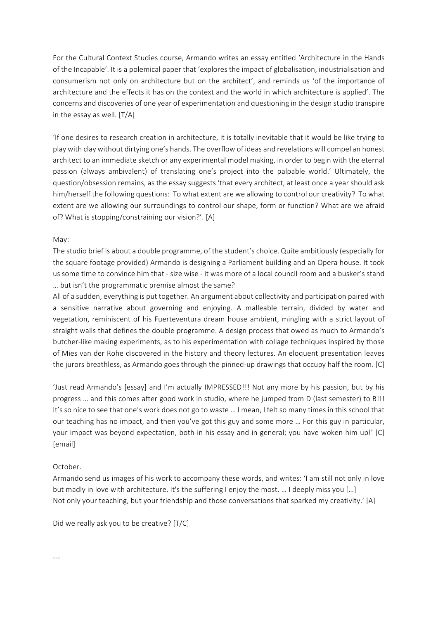For the Cultural Context Studies course, Armando writes an essay entitled 'Architecture in the Hands of the Incapable'. It is a polemical paper that 'explores the impact of globalisation, industrialisation and consumerism not only on architecture but on the architect', and reminds us 'of the importance of architecture and the effects it has on the context and the world in which architecture is applied'. The concerns and discoveries of one year of experimentation and questioning in the design studio transpire in the essay as well. [T/A]

'If one desires to research creation in architecture, it is totally inevitable that it would be like trying to play with clay without dirtying one's hands. The overflow of ideas and revelations will compel an honest architect to an immediate sketch or any experimental model making, in order to begin with the eternal passion (always ambivalent) of translating one's project into the palpable world.' Ultimately, the question/obsession remains, as the essay suggests 'that every architect, at least once a year should ask him/herself the following questions: To what extent are we allowing to control our creativity? To what extent are we allowing our surroundings to control our shape, form or function? What are we afraid of? What is stopping/constraining our vision?'. [A]

#### May:

The studio brief is about a double programme, of the student's choice. Quite ambitiously (especially for the square footage provided) Armando is designing a Parliament building and an Opera house. It took us some time to convince him that - size wise - it was more of a local council room and a busker's stand … but isn't the programmatic premise almost the same?

All of a sudden, everything is put together. An argument about collectivity and participation paired with a sensitive narrative about governing and enjoying. A malleable terrain, divided by water and vegetation, reminiscent of his Fuerteventura dream house ambient, mingling with a strict layout of straight walls that defines the double programme. A design process that owed as much to Armando's butcher-like making experiments, as to his experimentation with collage techniques inspired by those of Mies van der Rohe discovered in the history and theory lectures. An eloquent presentation leaves the jurors breathless, as Armando goes through the pinned-up drawings that occupy half the room. [C]

'Just read Armando's [essay] and I'm actually IMPRESSED!!! Not any more by his passion, but by his progress … and this comes after good work in studio, where he jumped from D (last semester) to B!!! It's so nice to see that one's work does not go to waste … I mean, I felt so many times in this school that our teaching has no impact, and then you've got this guy and some more … For this guy in particular, your impact was beyond expectation, both in his essay and in general; you have woken him up!' [C] [email]

#### October.

Armando send us images of his work to accompany these words, and writes: 'I am still not only in love but madly in love with architecture. It's the suffering I enjoy the most. ... I deeply miss you [...] Not only your teaching, but your friendship and those conversations that sparked my creativity.' [A]

Did we really ask you to be creative? [T/C]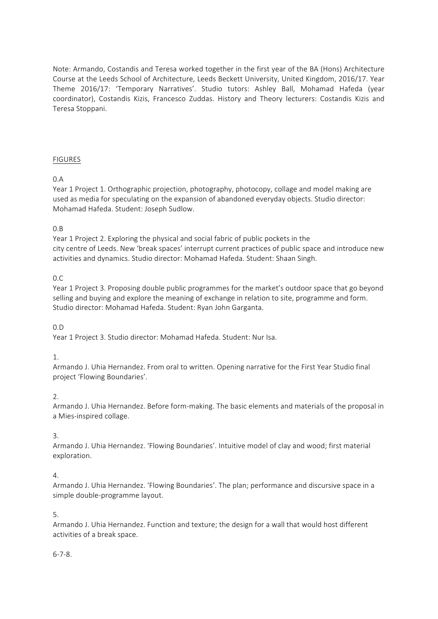Note: Armando, Costandis and Teresa worked together in the first year of the BA (Hons) Architecture Course at the Leeds School of Architecture, Leeds Beckett University, United Kingdom, 2016/17. Year Theme 2016/17: 'Temporary Narratives'. Studio tutors: Ashley Ball, Mohamad Hafeda (year coordinator), Costandis Kizis, Francesco Zuddas. History and Theory lecturers: Costandis Kizis and Teresa Stoppani.

# FIGURES

# 0.A

Year 1 Project 1. Orthographic projection, photography, photocopy, collage and model making are used as media for speculating on the expansion of abandoned everyday objects. Studio director: Mohamad Hafeda. Student: Joseph Sudlow.

## 0.B

Year 1 Project 2. Exploring the physical and social fabric of public pockets in the city centre of Leeds. New 'break spaces' interrupt current practices of public space and introduce new activities and dynamics. Studio director: Mohamad Hafeda. Student: Shaan Singh.

## 0.C

Year 1 Project 3. Proposing double public programmes for the market's outdoor space that go beyond selling and buying and explore the meaning of exchange in relation to site, programme and form. Studio director: Mohamad Hafeda. Student: Ryan John Garganta.

## $0.$ D

Year 1 Project 3. Studio director: Mohamad Hafeda. Student: Nur Isa.

## 1.

Armando J. Uhia Hernandez. From oral to written. Opening narrative for the First Year Studio final project 'Flowing Boundaries'.

## 2.

Armando J. Uhia Hernandez. Before form-making. The basic elements and materials of the proposal in a Mies-inspired collage.

## 3.

Armando J. Uhia Hernandez. 'Flowing Boundaries'. Intuitive model of clay and wood; first material exploration.

## 4.

Armando J. Uhia Hernandez. 'Flowing Boundaries'. The plan; performance and discursive space in a simple double-programme layout.

## 5.

Armando J. Uhia Hernandez. Function and texture; the design for a wall that would host different activities of a break space.

## 6-7-8.